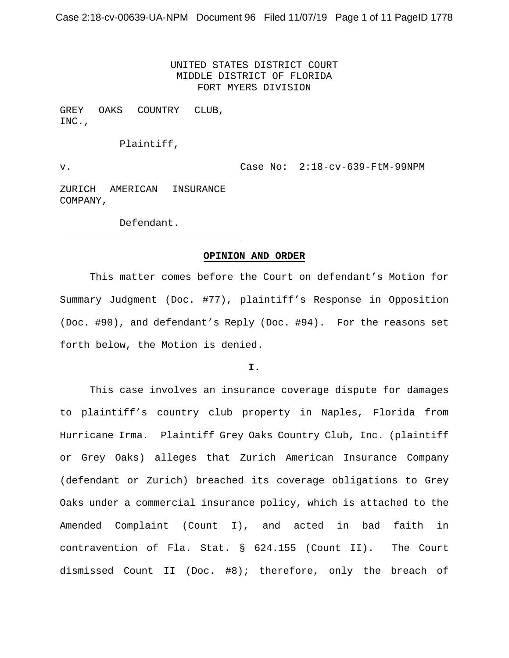UNITED STATES DISTRICT COURT MIDDLE DISTRICT OF FLORIDA FORT MYERS DIVISION

GREY OAKS COUNTRY CLUB, INC.,

Plaintiff,

v. Case No: 2:18-cv-639-FtM-99NPM

ZURICH AMERICAN INSURANCE COMPANY,

Defendant.

### **OPINION AND ORDER**

This matter comes before the Court on defendant's Motion for Summary Judgment (Doc. #77), plaintiff's Response in Opposition (Doc. #90), and defendant's Reply (Doc. #94). For the reasons set forth below, the Motion is denied.

#### **I.**

This case involves an insurance coverage dispute for damages to plaintiff's country club property in Naples, Florida from Hurricane Irma. Plaintiff Grey Oaks Country Club, Inc. (plaintiff or Grey Oaks) alleges that Zurich American Insurance Company (defendant or Zurich) breached its coverage obligations to Grey Oaks under a commercial insurance policy, which is attached to the Amended Complaint (Count I), and acted in bad faith in contravention of Fla. Stat. § 624.155 (Count II). The Court dismissed Count II (Doc. #8); therefore, only the breach of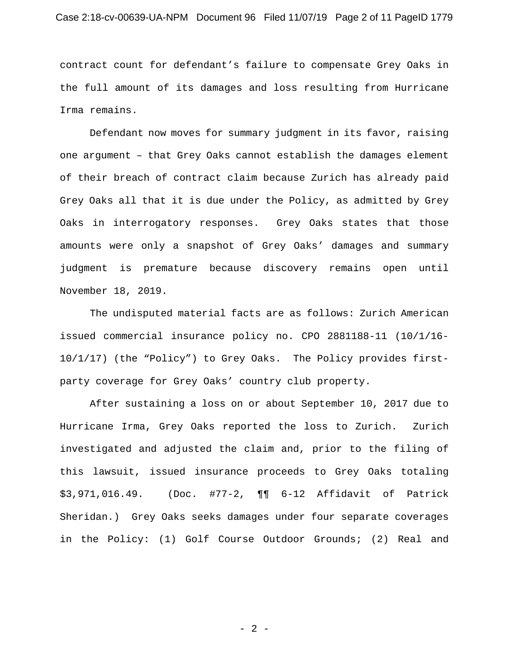# Case 2:18-cv-00639-UA-NPM Document 96 Filed 11/07/19 Page 2 of 11 PageID 1779

contract count for defendant's failure to compensate Grey Oaks in the full amount of its damages and loss resulting from Hurricane Irma remains.

Defendant now moves for summary judgment in its favor, raising one argument – that Grey Oaks cannot establish the damages element of their breach of contract claim because Zurich has already paid Grey Oaks all that it is due under the Policy, as admitted by Grey Oaks in interrogatory responses. Grey Oaks states that those amounts were only a snapshot of Grey Oaks' damages and summary judgment is premature because discovery remains open until November 18, 2019.

The undisputed material facts are as follows: Zurich American issued commercial insurance policy no. CPO 2881188-11 (10/1/16- 10/1/17) (the "Policy") to Grey Oaks. The Policy provides firstparty coverage for Grey Oaks' country club property.

After sustaining a loss on or about September 10, 2017 due to Hurricane Irma, Grey Oaks reported the loss to Zurich. Zurich investigated and adjusted the claim and, prior to the filing of this lawsuit, issued insurance proceeds to Grey Oaks totaling \$3,971,016.49. (Doc. #77-2, ¶¶ 6-12 Affidavit of Patrick Sheridan.) Grey Oaks seeks damages under four separate coverages in the Policy: (1) Golf Course Outdoor Grounds; (2) Real and

- 2 -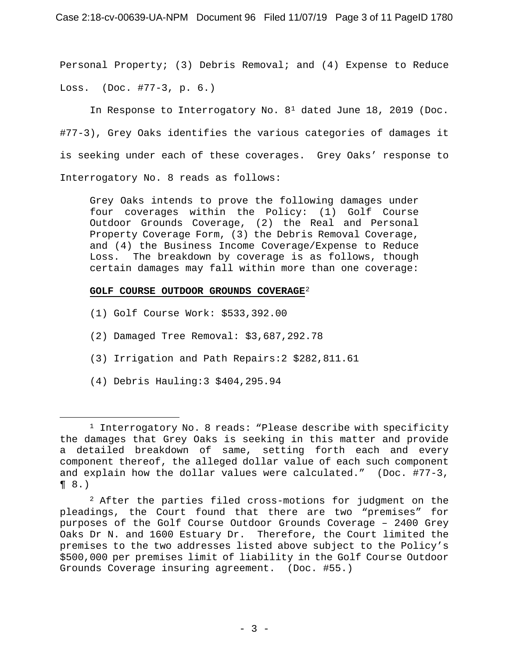Personal Property; (3) Debris Removal; and (4) Expense to Reduce Loss. (Doc. #77-3, p. 6.)

In Response to Interrogatory No.  $8^1$  $8^1$  dated June 18, 2019 (Doc. #77-3), Grey Oaks identifies the various categories of damages it is seeking under each of these coverages. Grey Oaks' response to Interrogatory No. 8 reads as follows:

Grey Oaks intends to prove the following damages under four coverages within the Policy: (1) Golf Course Outdoor Grounds Coverage, (2) the Real and Personal Property Coverage Form, (3) the Debris Removal Coverage, and (4) the Business Income Coverage/Expense to Reduce Loss. The breakdown by coverage is as follows, though certain damages may fall within more than one coverage:

## **GOLF COURSE OUTDOOR GROUNDS COVERAGE**[2](#page-2-1)

- (1) Golf Course Work: \$533,392.00
- (2) Damaged Tree Removal: \$3,687,292.78
- (3) Irrigation and Path Repairs:2 \$282,811.61
- (4) Debris Hauling:3 \$404,295.94

<span id="page-2-0"></span><sup>&</sup>lt;sup>1</sup> Interrogatory No. 8 reads: "Please describe with specificity the damages that Grey Oaks is seeking in this matter and provide a detailed breakdown of same, setting forth each and every component thereof, the alleged dollar value of each such component and explain how the dollar values were calculated." (Doc. #77-3, ¶ 8.)

<span id="page-2-1"></span> $2$  After the parties filed cross-motions for judgment on the pleadings, the Court found that there are two "premises" for purposes of the Golf Course Outdoor Grounds Coverage – 2400 Grey Oaks Dr N. and 1600 Estuary Dr. Therefore, the Court limited the premises to the two addresses listed above subject to the Policy's \$500,000 per premises limit of liability in the Golf Course Outdoor Grounds Coverage insuring agreement. (Doc. #55.)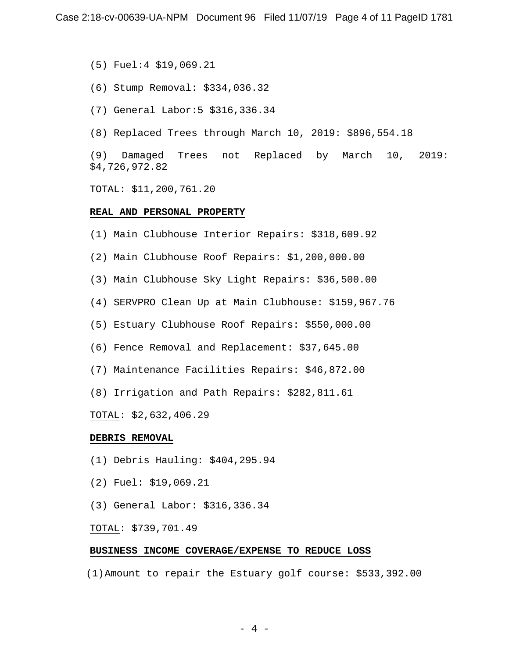(5) Fuel:4 \$19,069.21

- (6) Stump Removal: \$334,036.32
- (7) General Labor:5 \$316,336.34
- (8) Replaced Trees through March 10, 2019: \$896,554.18

(9) Damaged Trees not Replaced by March 10, 2019: \$4,726,972.82

TOTAL: \$11,200,761.20

#### **REAL AND PERSONAL PROPERTY**

(1) Main Clubhouse Interior Repairs: \$318,609.92

- (2) Main Clubhouse Roof Repairs: \$1,200,000.00
- (3) Main Clubhouse Sky Light Repairs: \$36,500.00
- (4) SERVPRO Clean Up at Main Clubhouse: \$159,967.76
- (5) Estuary Clubhouse Roof Repairs: \$550,000.00
- (6) Fence Removal and Replacement: \$37,645.00
- (7) Maintenance Facilities Repairs: \$46,872.00
- (8) Irrigation and Path Repairs: \$282,811.61

TOTAL: \$2,632,406.29

### **DEBRIS REMOVAL**

- (1) Debris Hauling: \$404,295.94
- (2) Fuel: \$19,069.21
- (3) General Labor: \$316,336.34

### TOTAL: \$739,701.49

### **BUSINESS INCOME COVERAGE/EXPENSE TO REDUCE LOSS**

(1)Amount to repair the Estuary golf course: \$533,392.00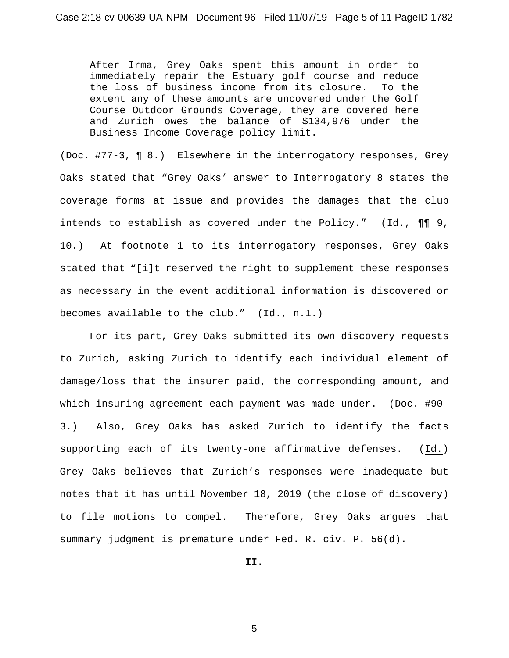After Irma, Grey Oaks spent this amount in order to immediately repair the Estuary golf course and reduce<br>the loss of business income from its closure. To the the loss of business income from its closure. extent any of these amounts are uncovered under the Golf Course Outdoor Grounds Coverage, they are covered here and Zurich owes the balance of \$134,976 under the Business Income Coverage policy limit.

(Doc. #77-3, ¶ 8.) Elsewhere in the interrogatory responses, Grey Oaks stated that "Grey Oaks' answer to Interrogatory 8 states the coverage forms at issue and provides the damages that the club intends to establish as covered under the Policy."  $(Id., \P\P\)$ , 10.) At footnote 1 to its interrogatory responses, Grey Oaks stated that "[i]t reserved the right to supplement these responses as necessary in the event additional information is discovered or becomes available to the club." (Id., n.1.)

For its part, Grey Oaks submitted its own discovery requests to Zurich, asking Zurich to identify each individual element of damage/loss that the insurer paid, the corresponding amount, and which insuring agreement each payment was made under. (Doc. #90- 3.) Also, Grey Oaks has asked Zurich to identify the facts supporting each of its twenty-one affirmative defenses. (Id.) Grey Oaks believes that Zurich's responses were inadequate but notes that it has until November 18, 2019 (the close of discovery) to file motions to compel. Therefore, Grey Oaks argues that summary judgment is premature under Fed. R. civ. P. 56(d).

**II.**

 $-5 -$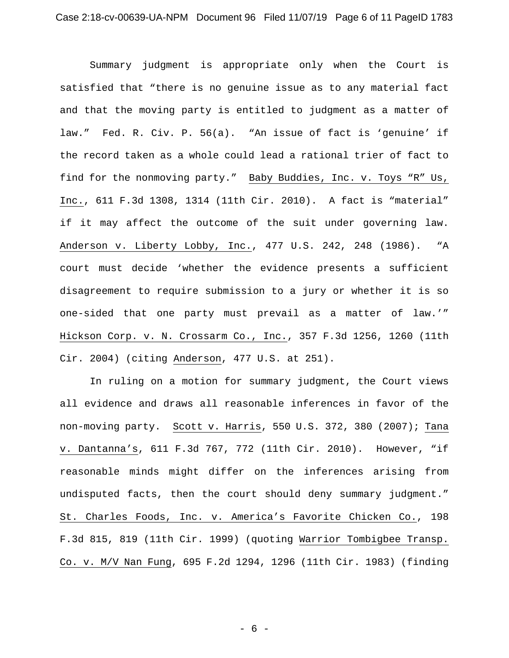Summary judgment is appropriate only when the Court is satisfied that "there is no genuine issue as to any material fact and that the moving party is entitled to judgment as a matter of law." Fed. R. Civ. P. 56(a). "An issue of fact is 'genuine' if the record taken as a whole could lead a rational trier of fact to find for the nonmoving party." Baby Buddies, Inc. v. Toys "R" Us, Inc., 611 F.3d 1308, 1314 (11th Cir. 2010). A fact is "material" if it may affect the outcome of the suit under governing law. Anderson v. Liberty Lobby, Inc., 477 U.S. 242, 248 (1986). "A court must decide 'whether the evidence presents a sufficient disagreement to require submission to a jury or whether it is so one-sided that one party must prevail as a matter of law.'" Hickson Corp. v. N. Crossarm Co., Inc., 357 F.3d 1256, 1260 (11th Cir. 2004) (citing Anderson, 477 U.S. at 251).

In ruling on a motion for summary judgment, the Court views all evidence and draws all reasonable inferences in favor of the non-moving party. Scott v. Harris, 550 U.S. 372, 380 (2007); Tana v. Dantanna's, 611 F.3d 767, 772 (11th Cir. 2010). However, "if reasonable minds might differ on the inferences arising from undisputed facts, then the court should deny summary judgment." St. Charles Foods, Inc. v. America's Favorite Chicken Co., 198 F.3d 815, 819 (11th Cir. 1999) (quoting Warrior Tombigbee Transp. Co. v. M/V Nan Fung, 695 F.2d 1294, 1296 (11th Cir. 1983) (finding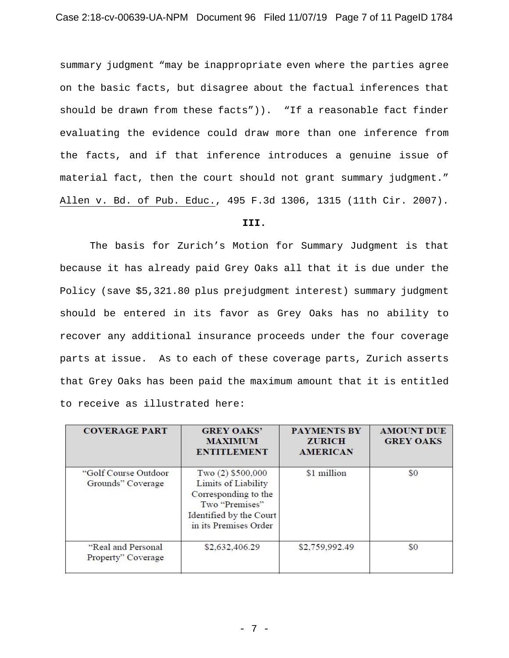summary judgment "may be inappropriate even where the parties agree on the basic facts, but disagree about the factual inferences that should be drawn from these facts")). "If a reasonable fact finder evaluating the evidence could draw more than one inference from the facts, and if that inference introduces a genuine issue of material fact, then the court should not grant summary judgment." Allen v. Bd. of Pub. Educ., 495 F.3d 1306, 1315 (11th Cir. 2007).

### **III.**

The basis for Zurich's Motion for Summary Judgment is that because it has already paid Grey Oaks all that it is due under the Policy (save \$5,321.80 plus prejudgment interest) summary judgment should be entered in its favor as Grey Oaks has no ability to recover any additional insurance proceeds under the four coverage parts at issue. As to each of these coverage parts, Zurich asserts that Grey Oaks has been paid the maximum amount that it is entitled to receive as illustrated here:

| <b>COVERAGE PART</b>                       | <b>GREY OAKS'</b><br><b>MAXIMUM</b><br><b>ENTITLEMENT</b>                                                                                       | <b>PAYMENTS BY</b><br><b>ZURICH</b><br><b>AMERICAN</b> | <b>AMOUNT DUE</b><br><b>GREY OAKS</b> |
|--------------------------------------------|-------------------------------------------------------------------------------------------------------------------------------------------------|--------------------------------------------------------|---------------------------------------|
| "Golf Course Outdoor"<br>Grounds" Coverage | Two $(2)$ \$500,000<br><b>Limits of Liability</b><br>Corresponding to the<br>Two "Premises"<br>Identified by the Court<br>in its Premises Order | \$1 million                                            | \$0                                   |
| "Real and Personal<br>Property" Coverage   | \$2,632,406.29                                                                                                                                  | \$2,759,992.49                                         | \$0                                   |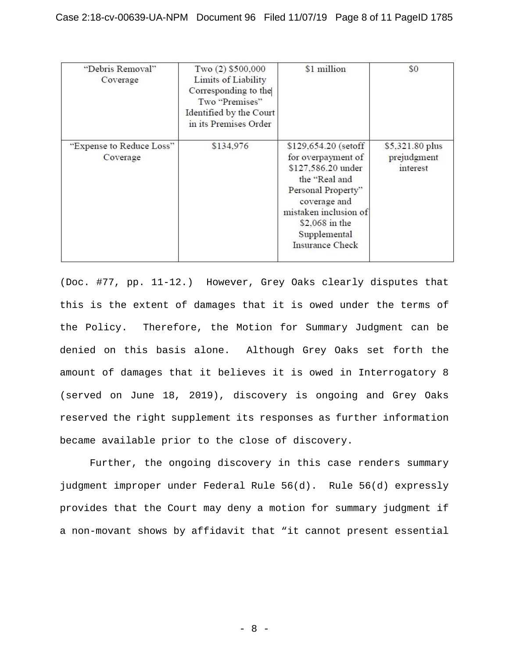| "Debris Removal"<br>Coverage         | Two $(2)$ \$500,000<br>Limits of Liability<br>Corresponding to the<br>Two "Premises"<br>Identified by the Court<br>in its Premises Order | \$1 million                                                                                                                                                                                                  | \$0                                        |
|--------------------------------------|------------------------------------------------------------------------------------------------------------------------------------------|--------------------------------------------------------------------------------------------------------------------------------------------------------------------------------------------------------------|--------------------------------------------|
| "Expense to Reduce Loss"<br>Coverage | \$134,976                                                                                                                                | \$129,654.20 (setoff<br>for overpayment of<br>\$127,586.20 under<br>the "Real and<br>Personal Property"<br>coverage and<br>mistaken inclusion of<br>\$2,068 in the<br>Supplemental<br><b>Insurance Check</b> | \$5,321.80 plus<br>prejudgment<br>interest |

(Doc. #77, pp. 11-12.) However, Grey Oaks clearly disputes that this is the extent of damages that it is owed under the terms of the Policy. Therefore, the Motion for Summary Judgment can be denied on this basis alone. Although Grey Oaks set forth the amount of damages that it believes it is owed in Interrogatory 8 (served on June 18, 2019), discovery is ongoing and Grey Oaks reserved the right supplement its responses as further information became available prior to the close of discovery.

Further, the ongoing discovery in this case renders summary judgment improper under Federal Rule 56(d). Rule 56(d) expressly provides that the Court may deny a motion for summary judgment if a non-movant shows by affidavit that "it cannot present essential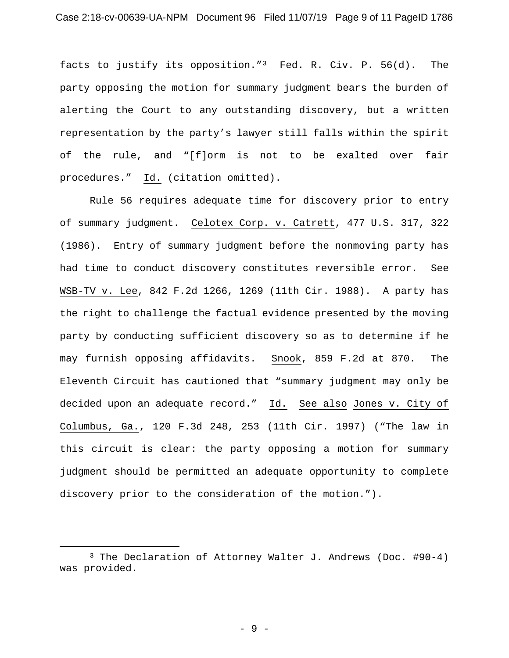facts to justify its opposition."[3](#page-8-0) Fed. R. Civ. P. 56(d). The party opposing the motion for summary judgment bears the burden of alerting the Court to any outstanding discovery, but a written representation by the party's lawyer still falls within the spirit of the rule, and "[f]orm is not to be exalted over fair procedures." Id. (citation omitted).

Rule 56 requires adequate time for discovery prior to entry of summary judgment. Celotex Corp. v. Catrett, 477 U.S. 317, 322 (1986). Entry of summary judgment before the nonmoving party has had time to conduct discovery constitutes reversible error. See WSB-TV v. Lee, 842 F.2d 1266, 1269 (11th Cir. 1988). A party has the right to challenge the factual evidence presented by the moving party by conducting sufficient discovery so as to determine if he may furnish opposing affidavits. Snook, 859 F.2d at 870. The Eleventh Circuit has cautioned that "summary judgment may only be decided upon an adequate record." Id. See also Jones v. City of Columbus, Ga., 120 F.3d 248, 253 (11th Cir. 1997) ("The law in this circuit is clear: the party opposing a motion for summary judgment should be permitted an adequate opportunity to complete discovery prior to the consideration of the motion.").

<span id="page-8-0"></span><sup>3</sup> The Declaration of Attorney Walter J. Andrews (Doc. #90-4) was provided.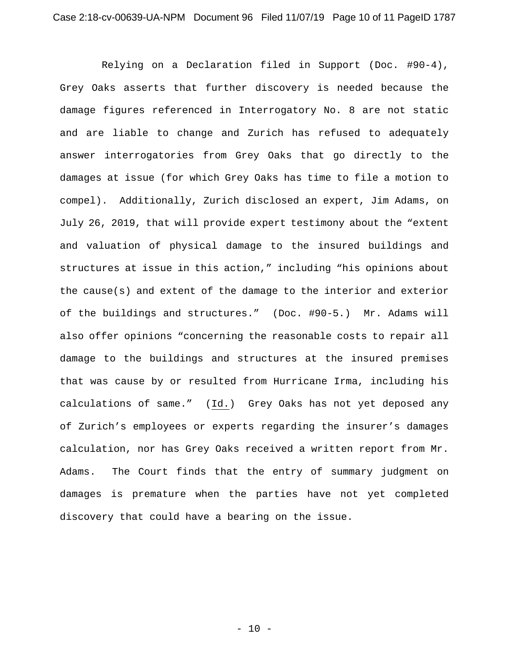Relying on a Declaration filed in Support (Doc. #90-4), Grey Oaks asserts that further discovery is needed because the damage figures referenced in Interrogatory No. 8 are not static and are liable to change and Zurich has refused to adequately answer interrogatories from Grey Oaks that go directly to the damages at issue (for which Grey Oaks has time to file a motion to compel). Additionally, Zurich disclosed an expert, Jim Adams, on July 26, 2019, that will provide expert testimony about the "extent and valuation of physical damage to the insured buildings and structures at issue in this action," including "his opinions about the cause(s) and extent of the damage to the interior and exterior of the buildings and structures." (Doc. #90-5.) Mr. Adams will also offer opinions "concerning the reasonable costs to repair all damage to the buildings and structures at the insured premises that was cause by or resulted from Hurricane Irma, including his calculations of same." (Id.) Grey Oaks has not yet deposed any of Zurich's employees or experts regarding the insurer's damages calculation, nor has Grey Oaks received a written report from Mr. Adams. The Court finds that the entry of summary judgment on damages is premature when the parties have not yet completed discovery that could have a bearing on the issue.